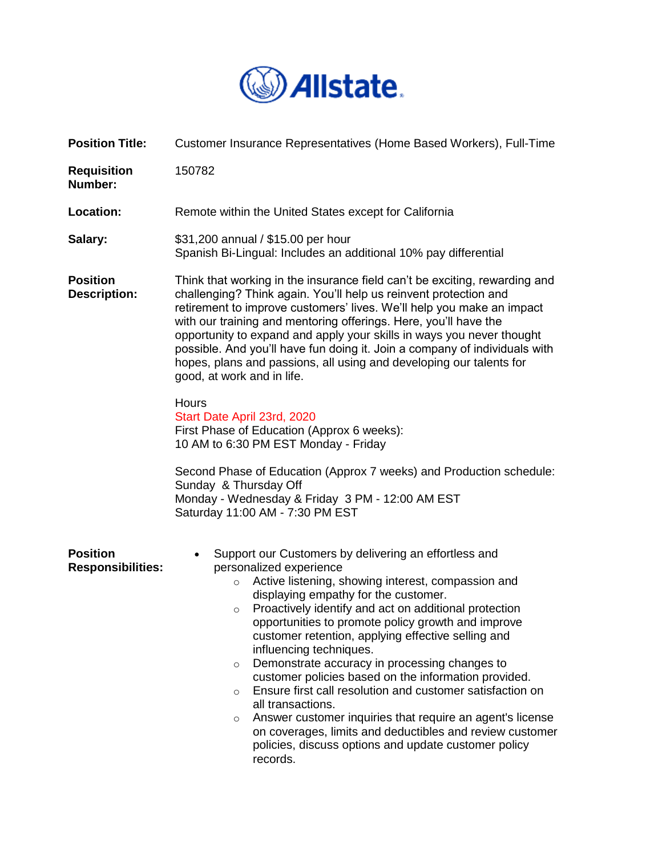

| <b>Position Title:</b>                      | Customer Insurance Representatives (Home Based Workers), Full-Time                                                                                                                                                                                                                                                                                                                                                                                                                                                                                                                                                                                                                                                                                                                                                                         |
|---------------------------------------------|--------------------------------------------------------------------------------------------------------------------------------------------------------------------------------------------------------------------------------------------------------------------------------------------------------------------------------------------------------------------------------------------------------------------------------------------------------------------------------------------------------------------------------------------------------------------------------------------------------------------------------------------------------------------------------------------------------------------------------------------------------------------------------------------------------------------------------------------|
| <b>Requisition</b><br>Number:               | 150782                                                                                                                                                                                                                                                                                                                                                                                                                                                                                                                                                                                                                                                                                                                                                                                                                                     |
| Location:                                   | Remote within the United States except for California                                                                                                                                                                                                                                                                                                                                                                                                                                                                                                                                                                                                                                                                                                                                                                                      |
| Salary:                                     | \$31,200 annual / \$15.00 per hour<br>Spanish Bi-Lingual: Includes an additional 10% pay differential                                                                                                                                                                                                                                                                                                                                                                                                                                                                                                                                                                                                                                                                                                                                      |
| <b>Position</b><br><b>Description:</b>      | Think that working in the insurance field can't be exciting, rewarding and<br>challenging? Think again. You'll help us reinvent protection and<br>retirement to improve customers' lives. We'll help you make an impact<br>with our training and mentoring offerings. Here, you'll have the<br>opportunity to expand and apply your skills in ways you never thought<br>possible. And you'll have fun doing it. Join a company of individuals with<br>hopes, plans and passions, all using and developing our talents for<br>good, at work and in life.                                                                                                                                                                                                                                                                                    |
|                                             | <b>Hours</b><br>Start Date April 23rd, 2020<br>First Phase of Education (Approx 6 weeks):<br>10 AM to 6:30 PM EST Monday - Friday<br>Second Phase of Education (Approx 7 weeks) and Production schedule:<br>Sunday & Thursday Off<br>Monday - Wednesday & Friday 3 PM - 12:00 AM EST<br>Saturday 11:00 AM - 7:30 PM EST                                                                                                                                                                                                                                                                                                                                                                                                                                                                                                                    |
| <b>Position</b><br><b>Responsibilities:</b> | Support our Customers by delivering an effortless and<br>$\bullet$<br>personalized experience<br>Active listening, showing interest, compassion and<br>$\circ$<br>displaying empathy for the customer.<br>Proactively identify and act on additional protection<br>$\circ$<br>opportunities to promote policy growth and improve<br>customer retention, applying effective selling and<br>influencing techniques.<br>Demonstrate accuracy in processing changes to<br>$\circ$<br>customer policies based on the information provided.<br>Ensure first call resolution and customer satisfaction on<br>$\circ$<br>all transactions.<br>Answer customer inquiries that require an agent's license<br>$\circ$<br>on coverages, limits and deductibles and review customer<br>policies, discuss options and update customer policy<br>records. |